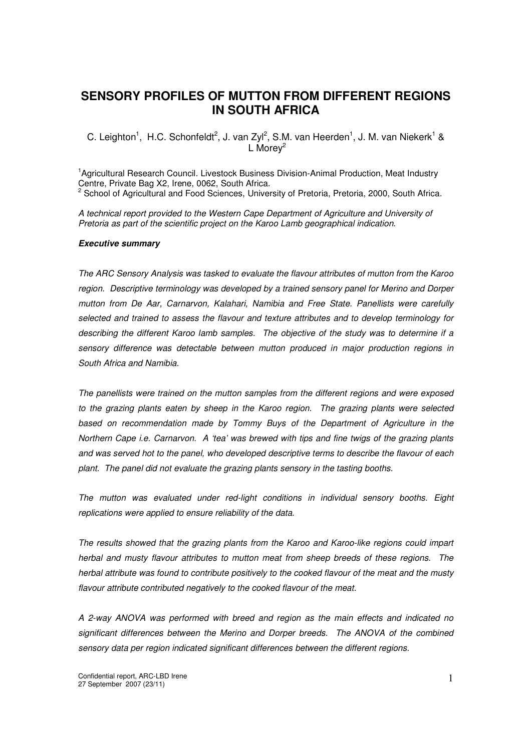## **SENSORY PROFILES OF MUTTON FROM DIFFERENT REGIONS IN SOUTH AFRICA**

C. Leighton<sup>1</sup>, H.C. Schonfeldt<sup>2</sup>, J. van Zyl<sup>2</sup>, S.M. van Heerden<sup>1</sup>, J. M. van Niekerk<sup>1</sup> & L More $v^2$ 

<sup>1</sup>Agricultural Research Council. Livestock Business Division-Animal Production, Meat Industry Centre, Private Bag X2, Irene, 0062, South Africa. <sup>2</sup> School of Agricultural and Food Sciences, University of Pretoria, Pretoria, 2000, South Africa.

A technical report provided to the Western Cape Department of Agriculture and University of Pretoria as part of the scientific project on the Karoo Lamb geographical indication.

#### **Executive summary**

The ARC Sensory Analysis was tasked to evaluate the flavour attributes of mutton from the Karoo region. Descriptive terminology was developed by a trained sensory panel for Merino and Dorper mutton from De Aar, Carnarvon, Kalahari, Namibia and Free State. Panellists were carefully selected and trained to assess the flavour and texture attributes and to develop terminology for describing the different Karoo lamb samples. The objective of the study was to determine if a sensory difference was detectable between mutton produced in major production regions in South Africa and Namibia.

The panellists were trained on the mutton samples from the different regions and were exposed to the grazing plants eaten by sheep in the Karoo region. The grazing plants were selected based on recommendation made by Tommy Buys of the Department of Agriculture in the Northern Cape i.e. Carnarvon. A 'tea' was brewed with tips and fine twigs of the grazing plants and was served hot to the panel, who developed descriptive terms to describe the flavour of each plant. The panel did not evaluate the grazing plants sensory in the tasting booths.

The mutton was evaluated under red-light conditions in individual sensory booths. Eight replications were applied to ensure reliability of the data.

The results showed that the grazing plants from the Karoo and Karoo-like regions could impart herbal and musty flavour attributes to mutton meat from sheep breeds of these regions. The herbal attribute was found to contribute positively to the cooked flavour of the meat and the musty flavour attribute contributed negatively to the cooked flavour of the meat.

A 2-way ANOVA was performed with breed and region as the main effects and indicated no significant differences between the Merino and Dorper breeds. The ANOVA of the combined sensory data per region indicated significant differences between the different regions.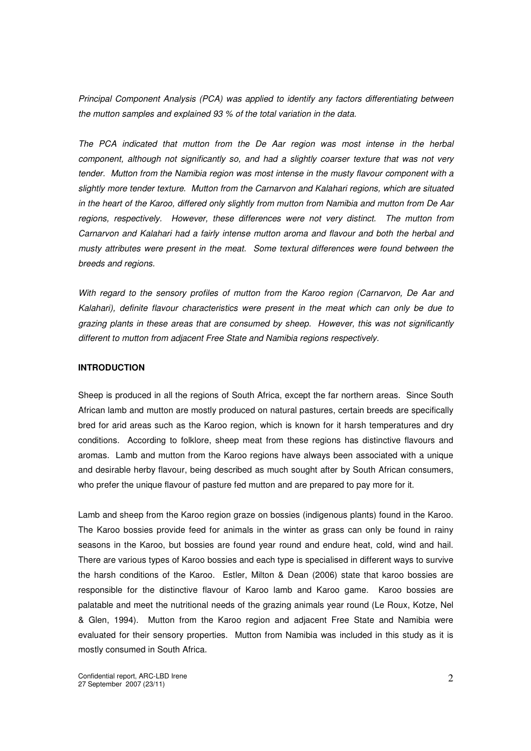Principal Component Analysis (PCA) was applied to identify any factors differentiating between the mutton samples and explained 93 % of the total variation in the data.

The PCA indicated that mutton from the De Aar region was most intense in the herbal component, although not significantly so, and had a slightly coarser texture that was not very tender. Mutton from the Namibia region was most intense in the musty flavour component with a slightly more tender texture. Mutton from the Carnarvon and Kalahari regions, which are situated in the heart of the Karoo, differed only slightly from mutton from Namibia and mutton from De Aar regions, respectively. However, these differences were not very distinct. The mutton from Carnarvon and Kalahari had a fairly intense mutton aroma and flavour and both the herbal and musty attributes were present in the meat. Some textural differences were found between the breeds and regions.

With regard to the sensory profiles of mutton from the Karoo region (Carnarvon, De Aar and Kalahari), definite flavour characteristics were present in the meat which can only be due to grazing plants in these areas that are consumed by sheep. However, this was not significantly different to mutton from adjacent Free State and Namibia regions respectively.

## **INTRODUCTION**

Sheep is produced in all the regions of South Africa, except the far northern areas. Since South African lamb and mutton are mostly produced on natural pastures, certain breeds are specifically bred for arid areas such as the Karoo region, which is known for it harsh temperatures and dry conditions. According to folklore, sheep meat from these regions has distinctive flavours and aromas. Lamb and mutton from the Karoo regions have always been associated with a unique and desirable herby flavour, being described as much sought after by South African consumers, who prefer the unique flavour of pasture fed mutton and are prepared to pay more for it.

Lamb and sheep from the Karoo region graze on bossies (indigenous plants) found in the Karoo. The Karoo bossies provide feed for animals in the winter as grass can only be found in rainy seasons in the Karoo, but bossies are found year round and endure heat, cold, wind and hail. There are various types of Karoo bossies and each type is specialised in different ways to survive the harsh conditions of the Karoo. Estler, Milton & Dean (2006) state that karoo bossies are responsible for the distinctive flavour of Karoo lamb and Karoo game. Karoo bossies are palatable and meet the nutritional needs of the grazing animals year round (Le Roux, Kotze, Nel & Glen, 1994). Mutton from the Karoo region and adjacent Free State and Namibia were evaluated for their sensory properties. Mutton from Namibia was included in this study as it is mostly consumed in South Africa.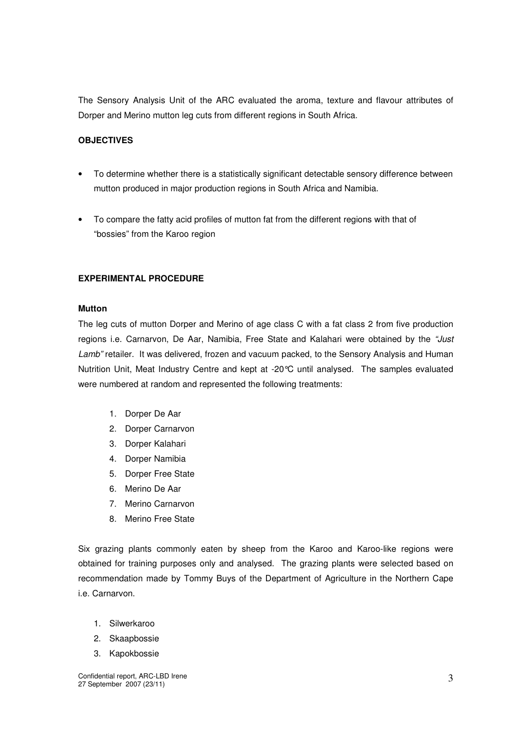The Sensory Analysis Unit of the ARC evaluated the aroma, texture and flavour attributes of Dorper and Merino mutton leg cuts from different regions in South Africa.

## **OBJECTIVES**

- To determine whether there is a statistically significant detectable sensory difference between mutton produced in major production regions in South Africa and Namibia.
- To compare the fatty acid profiles of mutton fat from the different regions with that of "bossies" from the Karoo region

## **EXPERIMENTAL PROCEDURE**

## **Mutton**

The leg cuts of mutton Dorper and Merino of age class C with a fat class 2 from five production regions i.e. Carnarvon, De Aar, Namibia, Free State and Kalahari were obtained by the "Just Lamb" retailer. It was delivered, frozen and vacuum packed, to the Sensory Analysis and Human Nutrition Unit, Meat Industry Centre and kept at -20°C until analysed. The samples evaluated were numbered at random and represented the following treatments:

- 1. Dorper De Aar
- 2. Dorper Carnarvon
- 3. Dorper Kalahari
- 4. Dorper Namibia
- 5. Dorper Free State
- 6. Merino De Aar
- 7. Merino Carnarvon
- 8. Merino Free State

Six grazing plants commonly eaten by sheep from the Karoo and Karoo-like regions were obtained for training purposes only and analysed. The grazing plants were selected based on recommendation made by Tommy Buys of the Department of Agriculture in the Northern Cape i.e. Carnarvon.

- 1. Silwerkaroo
- 2. Skaapbossie
- 3. Kapokbossie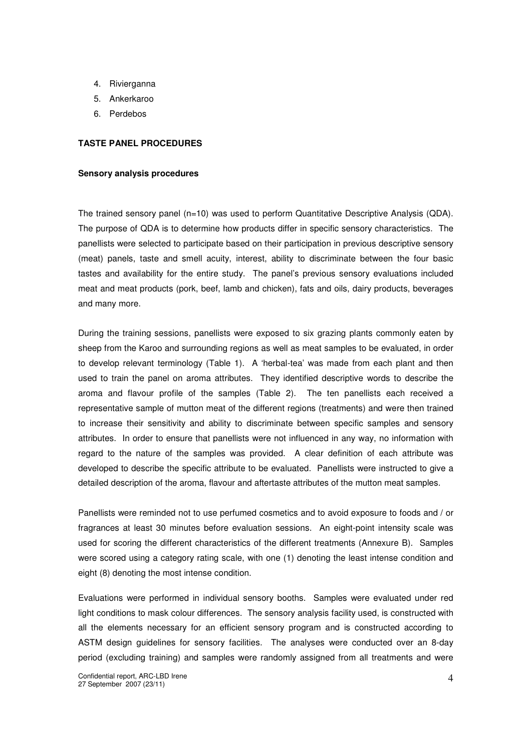- 4. Rivierganna
- 5. Ankerkaroo
- 6. Perdebos

## **TASTE PANEL PROCEDURES**

## **Sensory analysis procedures**

The trained sensory panel (n=10) was used to perform Quantitative Descriptive Analysis (QDA). The purpose of QDA is to determine how products differ in specific sensory characteristics. The panellists were selected to participate based on their participation in previous descriptive sensory (meat) panels, taste and smell acuity, interest, ability to discriminate between the four basic tastes and availability for the entire study. The panel's previous sensory evaluations included meat and meat products (pork, beef, lamb and chicken), fats and oils, dairy products, beverages and many more.

During the training sessions, panellists were exposed to six grazing plants commonly eaten by sheep from the Karoo and surrounding regions as well as meat samples to be evaluated, in order to develop relevant terminology (Table 1). A 'herbal-tea' was made from each plant and then used to train the panel on aroma attributes. They identified descriptive words to describe the aroma and flavour profile of the samples (Table 2). The ten panellists each received a representative sample of mutton meat of the different regions (treatments) and were then trained to increase their sensitivity and ability to discriminate between specific samples and sensory attributes. In order to ensure that panellists were not influenced in any way, no information with regard to the nature of the samples was provided. A clear definition of each attribute was developed to describe the specific attribute to be evaluated. Panellists were instructed to give a detailed description of the aroma, flavour and aftertaste attributes of the mutton meat samples.

Panellists were reminded not to use perfumed cosmetics and to avoid exposure to foods and / or fragrances at least 30 minutes before evaluation sessions. An eight-point intensity scale was used for scoring the different characteristics of the different treatments (Annexure B). Samples were scored using a category rating scale, with one (1) denoting the least intense condition and eight (8) denoting the most intense condition.

Evaluations were performed in individual sensory booths. Samples were evaluated under red light conditions to mask colour differences. The sensory analysis facility used, is constructed with all the elements necessary for an efficient sensory program and is constructed according to ASTM design guidelines for sensory facilities. The analyses were conducted over an 8-day period (excluding training) and samples were randomly assigned from all treatments and were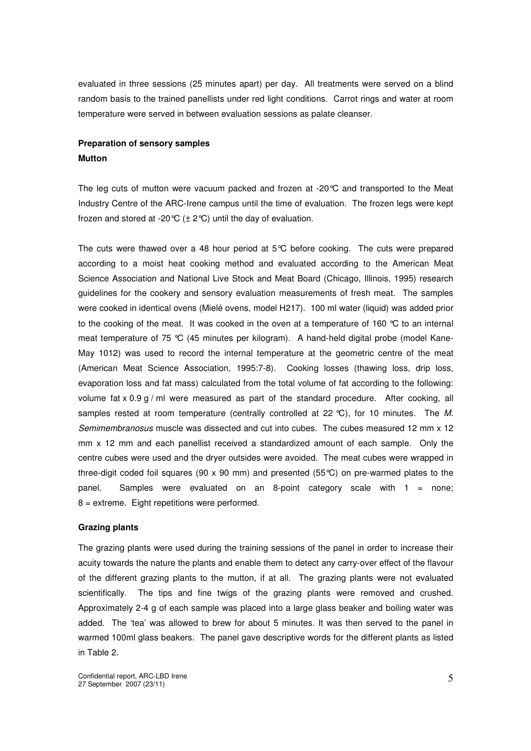evaluated in three sessions (25 minutes apart) per day. All treatments were served on a blind random basis to the trained panellists under red light conditions. Carrot rings and water at room temperature were served in between evaluation sessions as palate cleanser.

## **Preparation of sensory samples Mutton**

The leg cuts of mutton were vacuum packed and frozen at -20 $\degree$ C and transported to the Meat Industry Centre of the ARC-Irene campus until the time of evaluation. The frozen legs were kept frozen and stored at -20 $\degree$ C ( $\pm$  2 $\degree$ C) until the day of evaluation.

The cuts were thawed over a 48 hour period at 5°C before cooking. The cuts were prepared according to a moist heat cooking method and evaluated according to the American Meat Science Association and National Live Stock and Meat Board (Chicago, Illinois, 1995) research guidelines for the cookery and sensory evaluation measurements of fresh meat. The samples were cooked in identical ovens (Mielé ovens, model H217). 100 ml water (liquid) was added prior to the cooking of the meat. It was cooked in the oven at a temperature of 160 °C to an internal meat temperature of 75  $\mathcal{C}$  (45 minutes per kilogram). A hand-held digital probe (model Kane-May 1012) was used to record the internal temperature at the geometric centre of the meat (American Meat Science Association, 1995:7-8). Cooking losses (thawing loss, drip loss, evaporation loss and fat mass) calculated from the total volume of fat according to the following: volume fat  $x$  0.9 g / ml were measured as part of the standard procedure. After cooking, all samples rested at room temperature (centrally controlled at 22  $^{\circ}$ C), for 10 minutes. The M. Semimembranosus muscle was dissected and cut into cubes. The cubes measured 12 mm x 12 mm x 12 mm and each panellist received a standardized amount of each sample. Only the centre cubes were used and the dryer outsides were avoided. The meat cubes were wrapped in three-digit coded foil squares (90 x 90 mm) and presented (55 °C) on pre-warmed plates to the panel. Samples were evaluated on an 8-point category scale with 1 = none; 8 = extreme. Eight repetitions were performed.

## **Grazing plants**

The grazing plants were used during the training sessions of the panel in order to increase their acuity towards the nature the plants and enable them to detect any carry-over effect of the flavour of the different grazing plants to the mutton, if at all. The grazing plants were not evaluated scientifically. The tips and fine twigs of the grazing plants were removed and crushed. Approximately 2-4 g of each sample was placed into a large glass beaker and boiling water was added. The 'tea' was allowed to brew for about 5 minutes. It was then served to the panel in warmed 100ml glass beakers. The panel gave descriptive words for the different plants as listed in Table 2.

Confidential report, ARC-LBD Irene (2009) (2009) 35 (2009) 35 (2009) 35 (2009) 35 (2009) 35 (2009) 35 (2009) 36 (2009) 36 (2009) 36 (2009) 36 (2009) 36 (2009) 36 (2009) 36 (2009) 36 (2009) 36 (2009) 36 (2009) 36 (2009) 36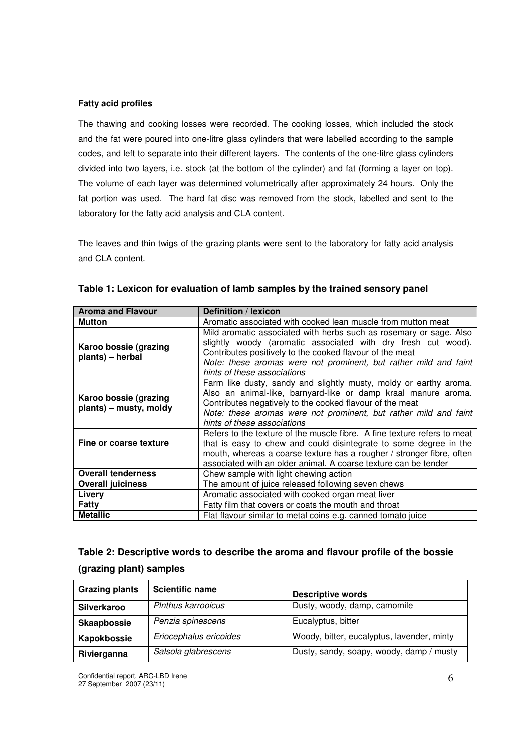## **Fatty acid profiles**

The thawing and cooking losses were recorded. The cooking losses, which included the stock and the fat were poured into one-litre glass cylinders that were labelled according to the sample codes, and left to separate into their different layers. The contents of the one-litre glass cylinders divided into two layers, i.e. stock (at the bottom of the cylinder) and fat (forming a layer on top). The volume of each layer was determined volumetrically after approximately 24 hours. Only the fat portion was used. The hard fat disc was removed from the stock, labelled and sent to the laboratory for the fatty acid analysis and CLA content.

The leaves and thin twigs of the grazing plants were sent to the laboratory for fatty acid analysis and CLA content.

| <b>Aroma and Flavour</b>                                                                                                                                                                                                                                                                                            | <b>Definition / lexicon</b>                                                                                                                                                                                                                                                                        |  |  |  |  |
|---------------------------------------------------------------------------------------------------------------------------------------------------------------------------------------------------------------------------------------------------------------------------------------------------------------------|----------------------------------------------------------------------------------------------------------------------------------------------------------------------------------------------------------------------------------------------------------------------------------------------------|--|--|--|--|
| <b>Mutton</b>                                                                                                                                                                                                                                                                                                       | Aromatic associated with cooked lean muscle from mutton meat                                                                                                                                                                                                                                       |  |  |  |  |
| Karoo bossie (grazing<br>plants) - herbal                                                                                                                                                                                                                                                                           | Mild aromatic associated with herbs such as rosemary or sage. Also<br>slightly woody (aromatic associated with dry fresh cut wood).<br>Contributes positively to the cooked flavour of the meat<br>Note: these aromas were not prominent, but rather mild and faint<br>hints of these associations |  |  |  |  |
| Karoo bossie (grazing<br>plants) – musty, moldy                                                                                                                                                                                                                                                                     | Farm like dusty, sandy and slightly musty, moldy or earthy aroma.<br>Also an animal-like, barnyard-like or damp kraal manure aroma.<br>Contributes negatively to the cooked flavour of the meat<br>Note: these aromas were not prominent, but rather mild and faint<br>hints of these associations |  |  |  |  |
| Refers to the texture of the muscle fibre. A fine texture refers to meat<br>Fine or coarse texture<br>that is easy to chew and could disintegrate to some degree in the<br>mouth, whereas a coarse texture has a rougher / stronger fibre, often<br>associated with an older animal. A coarse texture can be tender |                                                                                                                                                                                                                                                                                                    |  |  |  |  |
| <b>Overall tenderness</b>                                                                                                                                                                                                                                                                                           | Chew sample with light chewing action                                                                                                                                                                                                                                                              |  |  |  |  |
| <b>Overall juiciness</b>                                                                                                                                                                                                                                                                                            | The amount of juice released following seven chews                                                                                                                                                                                                                                                 |  |  |  |  |
| Livery                                                                                                                                                                                                                                                                                                              | Aromatic associated with cooked organ meat liver                                                                                                                                                                                                                                                   |  |  |  |  |
| <b>Fatty</b>                                                                                                                                                                                                                                                                                                        | Fatty film that covers or coats the mouth and throat                                                                                                                                                                                                                                               |  |  |  |  |
| <b>Metallic</b>                                                                                                                                                                                                                                                                                                     | Flat flavour similar to metal coins e.g. canned tomato juice                                                                                                                                                                                                                                       |  |  |  |  |

| Table 1: Lexicon for evaluation of lamb samples by the trained sensory panel |
|------------------------------------------------------------------------------|
|------------------------------------------------------------------------------|

| Table 2: Descriptive words to describe the aroma and flavour profile of the bossie |  |
|------------------------------------------------------------------------------------|--|
| (grazing plant) samples                                                            |  |

| <b>Grazing plants</b> | <b>Scientific name</b> | <b>Descriptive words</b>                   |
|-----------------------|------------------------|--------------------------------------------|
| <b>Silverkaroo</b>    | PInthus karrooicus     | Dusty, woody, damp, camomile               |
| <b>Skaapbossie</b>    | Penzia spinescens      | Eucalyptus, bitter                         |
| Kapokbossie           | Eriocephalus ericoides | Woody, bitter, eucalyptus, lavender, minty |
| Rivierganna           | Salsola glabrescens    | Dusty, sandy, soapy, woody, damp / musty   |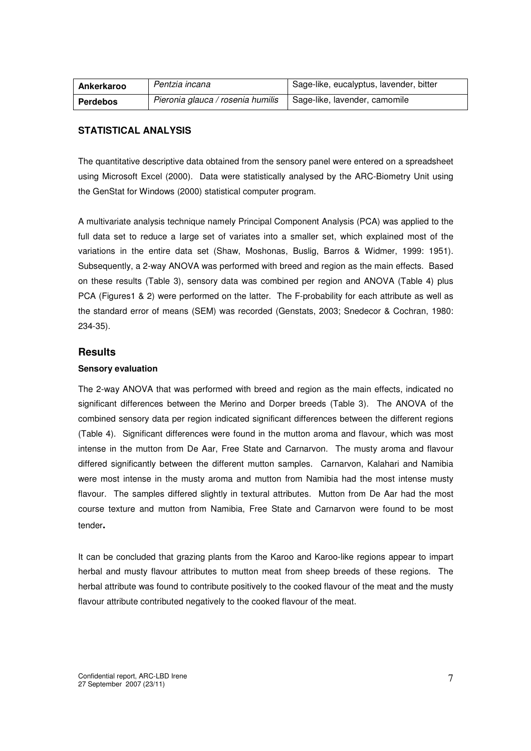| Ankerkaroo      | Pentzia incana                    | Sage-like, eucalyptus, lavender, bitter |
|-----------------|-----------------------------------|-----------------------------------------|
| <b>Perdebos</b> | Pieronia glauca / rosenia humilis | Sage-like, lavender, camomile           |

## **STATISTICAL ANALYSIS**

The quantitative descriptive data obtained from the sensory panel were entered on a spreadsheet using Microsoft Excel (2000). Data were statistically analysed by the ARC-Biometry Unit using the GenStat for Windows (2000) statistical computer program.

A multivariate analysis technique namely Principal Component Analysis (PCA) was applied to the full data set to reduce a large set of variates into a smaller set, which explained most of the variations in the entire data set (Shaw, Moshonas, Buslig, Barros & Widmer, 1999: 1951). Subsequently, a 2-way ANOVA was performed with breed and region as the main effects. Based on these results (Table 3), sensory data was combined per region and ANOVA (Table 4) plus PCA (Figures1 & 2) were performed on the latter. The F-probability for each attribute as well as the standard error of means (SEM) was recorded (Genstats, 2003; Snedecor & Cochran, 1980: 234-35).

## **Results**

## **Sensory evaluation**

The 2-way ANOVA that was performed with breed and region as the main effects, indicated no significant differences between the Merino and Dorper breeds (Table 3). The ANOVA of the combined sensory data per region indicated significant differences between the different regions (Table 4). Significant differences were found in the mutton aroma and flavour, which was most intense in the mutton from De Aar, Free State and Carnarvon. The musty aroma and flavour differed significantly between the different mutton samples. Carnarvon, Kalahari and Namibia were most intense in the musty aroma and mutton from Namibia had the most intense musty flavour. The samples differed slightly in textural attributes. Mutton from De Aar had the most course texture and mutton from Namibia, Free State and Carnarvon were found to be most tender**.** 

It can be concluded that grazing plants from the Karoo and Karoo-like regions appear to impart herbal and musty flavour attributes to mutton meat from sheep breeds of these regions. The herbal attribute was found to contribute positively to the cooked flavour of the meat and the musty flavour attribute contributed negatively to the cooked flavour of the meat.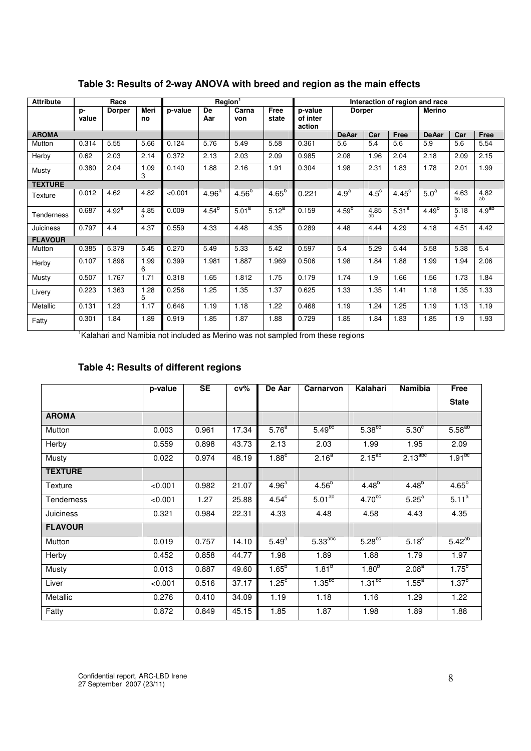| <b>Attribute</b> |             | Race       |            |         | Region <sup>1</sup> |                   |               | Interaction of region and race |                   |             |                |                  |             |                   |
|------------------|-------------|------------|------------|---------|---------------------|-------------------|---------------|--------------------------------|-------------------|-------------|----------------|------------------|-------------|-------------------|
|                  | p-<br>value | Dorper     | Meri<br>no | p-value | De<br>Aar           | Carna<br>von      | Free<br>state | p-value<br>of inter<br>action  | <b>Dorper</b>     |             |                | <b>Merino</b>    |             |                   |
| <b>AROMA</b>     |             |            |            |         |                     |                   |               |                                | <b>DeAar</b>      | Car         | Free           | <b>De Aar</b>    | Car         | Free              |
| Mutton           | 0.314       | 5.55       | 5.66       | 0.124   | 5.76                | 5.49              | 5.58          | 0.361                          | 5.6               | 5.4         | 5.6            | 5.9              | 5.6         | 5.54              |
| Herby            | 0.62        | 2.03       | 2.14       | 0.372   | 2.13                | 2.03              | 2.09          | 0.985                          | 2.08              | 1.96        | 2.04           | 2.18             | 2.09        | 2.15              |
| Musty            | 0.380       | 2.04       | 1.09<br>3  | 0.140   | 1.88                | 2.16              | 1.91          | 0.304                          | 1.98              | 2.31        | 1.83           | 1.78             | 2.01        | 1.99              |
| <b>TEXTURE</b>   |             |            |            |         |                     |                   |               |                                |                   |             |                |                  |             |                   |
| Texture          | 0.012       | 4.62       | 4.82       | < 0.001 | 4.96 <sup>a</sup>   | $4.56^{b}$        | $4.65^{b}$    | 0.221                          | 4.9 <sup>a</sup>  | $4.5^\circ$ | $4.45^{\circ}$ | 5.0 <sup>a</sup> | 4.63<br>bc. | 4.82<br>ab        |
| Tenderness       | 0.687       | $4.92^{a}$ | 4.85<br>a  | 0.009   | $4.54^{b}$          | 5.01 <sup>a</sup> | $5.12^{a}$    | 0.159                          | 4.59 <sup>b</sup> | 4.85<br>ab  | $5.31^{a}$     | $4.49^{b}$       | 5.18<br>a   | 4.9 <sup>ab</sup> |
| <b>Juiciness</b> | 0.797       | 4.4        | 4.37       | 0.559   | 4.33                | 4.48              | 4.35          | 0.289                          | 4.48              | 4.44        | 4.29           | 4.18             | 4.51        | 4.42              |
| <b>FLAVOUR</b>   |             |            |            |         |                     |                   |               |                                |                   |             |                |                  |             |                   |
| Mutton           | 0.385       | 5.379      | 5.45       | 0.270   | 5.49                | 5.33              | 5.42          | 0.597                          | 5.4               | 5.29        | 5.44           | 5.58             | 5.38        | 5.4               |
| Herby            | 0.107       | 1.896      | 1.99<br>6  | 0.399   | 1.981               | 1.887             | 1.969         | 0.506                          | 1.98              | 1.84        | 1.88           | 1.99             | 1.94        | 2.06              |
| Musty            | 0.507       | 1.767      | 1.71       | 0.318   | 1.65                | 1.812             | 1.75          | 0.179                          | 1.74              | 1.9         | 1.66           | 1.56             | 1.73        | 1.84              |
| Livery           | 0.223       | 1.363      | 1.28<br>5  | 0.256   | 1.25                | 1.35              | 1.37          | 0.625                          | 1.33              | 1.35        | 1.41           | 1.18             | 1.35        | 1.33              |
| Metallic         | 0.131       | 1.23       | 1.17       | 0.646   | 1.19                | 1.18              | 1.22          | 0.468                          | 1.19              | 1.24        | 1.25           | 1.19             | 1.13        | 1.19              |
| Fatty            | 0.301       | 1.84       | 1.89       | 0.919   | 1.85                | 1.87              | 1.88          | 0.729                          | 1.85              | 1.84        | 1.83           | 1.85             | 1.9         | 1.93              |

## **Table 3: Results of 2-way ANOVA with breed and region as the main effects**

<sup>1</sup>Kalahari and Namibia not included as Merino was not sampled from these regions

## **Table 4: Results of different regions**

|                   | p-value | <b>SE</b> | $cv\%$ | De Aar            | Carnarvon             | Kalahari           | <b>Namibia</b>        | Free         |
|-------------------|---------|-----------|--------|-------------------|-----------------------|--------------------|-----------------------|--------------|
|                   |         |           |        |                   |                       |                    |                       | <b>State</b> |
| <b>AROMA</b>      |         |           |        |                   |                       |                    |                       |              |
| Mutton            | 0.003   | 0.961     | 17.34  | 5.76 <sup>a</sup> | 5.49 <sup>bc</sup>    | $5.38^{bc}$        | 5.30 <sup>c</sup>     | $5.58^{ab}$  |
| Herby             | 0.559   | 0.898     | 43.73  | 2.13              | 2.03                  | 1.99               | 1.95                  | 2.09         |
| Musty             | 0.022   | 0.974     | 48.19  | 1.88 <sup>c</sup> | 2.16 <sup>a</sup>     | $2.15^{ab}$        | $2.13$ <sup>abc</sup> | $1.91^{bc}$  |
| <b>TEXTURE</b>    |         |           |        |                   |                       |                    |                       |              |
| Texture           | < 0.001 | 0.982     | 21.07  | 4.96 <sup>a</sup> | $4.56^{b}$            | $4.48^{b}$         | $4.48^{b}$            | $4.65^{b}$   |
| <b>Tenderness</b> | < 0.001 | 1.27      | 25.88  | $4.54^{\circ}$    | $5.01^{ab}$           | $4.70^{bc}$        | $5.25^{\circ}$        | $5.11^{a}$   |
| <b>Juiciness</b>  | 0.321   | 0.984     | 22.31  | 4.33              | 4.48                  | 4.58               | 4.43                  | 4.35         |
| <b>FLAVOUR</b>    |         |           |        |                   |                       |                    |                       |              |
| Mutton            | 0.019   | 0.757     | 14.10  | $5.49^{a}$        | $5.33$ <sup>abc</sup> | $5.28^{bc}$        | 5.18 <sup>c</sup>     | $5.42^{ab}$  |
| Herby             | 0.452   | 0.858     | 44.77  | 1.98              | 1.89                  | 1.88               | 1.79                  | 1.97         |
| Musty             | 0.013   | 0.887     | 49.60  | 1.65 <sup>b</sup> | $1.81^{b}$            | 1.80 <sup>b</sup>  | 2.08 <sup>a</sup>     | $1.75^{b}$   |
| Liver             | < 0.001 | 0.516     | 37.17  | $1.25^{\circ}$    | $1.35^{bc}$           | 1.31 <sup>bc</sup> | $1.55^{a}$            | $1.37^{b}$   |
| Metallic          | 0.276   | 0.410     | 34.09  | 1.19              | 1.18                  | 1.16               | 1.29                  | 1.22         |
| Fatty             | 0.872   | 0.849     | 45.15  | 1.85              | 1.87                  | 1.98               | 1.89                  | 1.88         |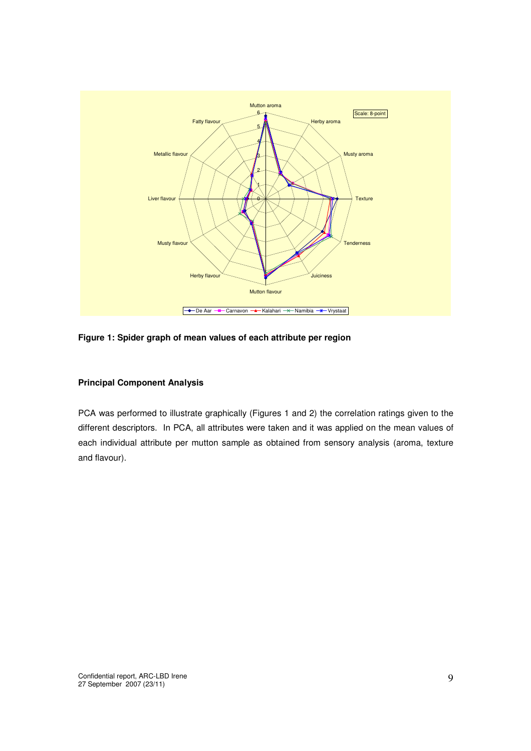

**Figure 1: Spider graph of mean values of each attribute per region** 

## **Principal Component Analysis**

PCA was performed to illustrate graphically (Figures 1 and 2) the correlation ratings given to the different descriptors. In PCA, all attributes were taken and it was applied on the mean values of each individual attribute per mutton sample as obtained from sensory analysis (aroma, texture and flavour).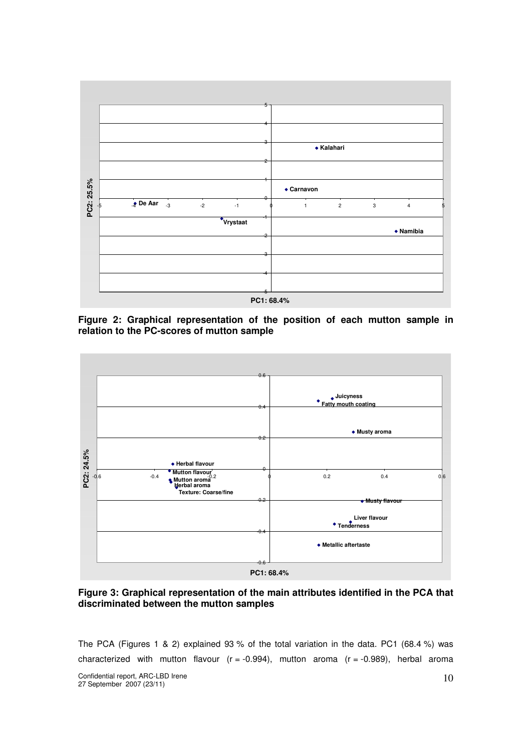

**Figure 2: Graphical representation of the position of each mutton sample in relation to the PC-scores of mutton sample** 



**Figure 3: Graphical representation of the main attributes identified in the PCA that discriminated between the mutton samples** 

The PCA (Figures 1 & 2) explained 93 % of the total variation in the data. PC1 (68.4 %) was characterized with mutton flavour  $(r = -0.994)$ , mutton aroma  $(r = -0.989)$ , herbal aroma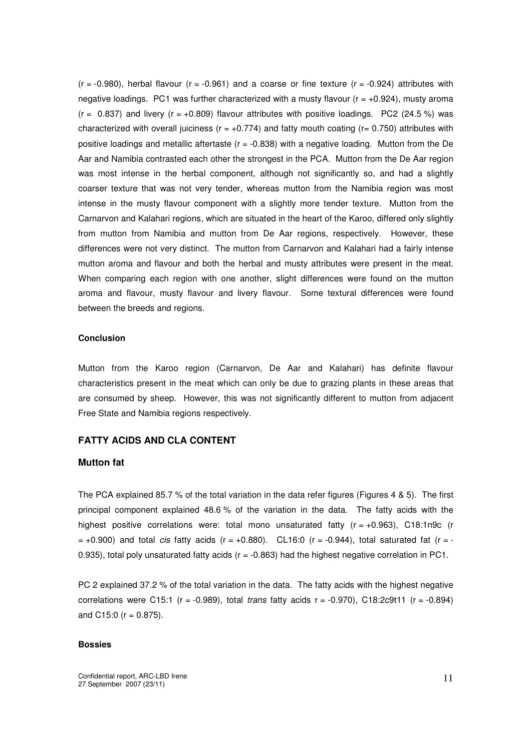$(r = -0.980)$ , herbal flavour  $(r = -0.961)$  and a coarse or fine texture  $(r = -0.924)$  attributes with negative loadings. PC1 was further characterized with a musty flavour  $(r = +0.924)$ , musty aroma  $(r = 0.837)$  and livery  $(r = +0.809)$  flavour attributes with positive loadings. PC2 (24.5 %) was characterized with overall juiciness ( $r = +0.774$ ) and fatty mouth coating ( $r = 0.750$ ) attributes with positive loadings and metallic aftertaste ( $r = -0.838$ ) with a negative loading. Mutton from the De Aar and Namibia contrasted each other the strongest in the PCA. Mutton from the De Aar region was most intense in the herbal component, although not significantly so, and had a slightly coarser texture that was not very tender, whereas mutton from the Namibia region was most intense in the musty flavour component with a slightly more tender texture. Mutton from the Carnarvon and Kalahari regions, which are situated in the heart of the Karoo, differed only slightly from mutton from Namibia and mutton from De Aar regions, respectively. However, these differences were not very distinct. The mutton from Carnarvon and Kalahari had a fairly intense mutton aroma and flavour and both the herbal and musty attributes were present in the meat. When comparing each region with one another, slight differences were found on the mutton aroma and flavour, musty flavour and livery flavour. Some textural differences were found between the breeds and regions.

#### **Conclusion**

Mutton from the Karoo region (Carnarvon, De Aar and Kalahari) has definite flavour characteristics present in the meat which can only be due to grazing plants in these areas that are consumed by sheep. However, this was not significantly different to mutton from adjacent Free State and Namibia regions respectively.

## **FATTY ACIDS AND CLA CONTENT**

## **Mutton fat**

The PCA explained 85.7 % of the total variation in the data refer figures (Figures 4 & 5). The first principal component explained 48.6 % of the variation in the data. The fatty acids with the highest positive correlations were: total mono unsaturated fatty  $(r = +0.963)$ , C18:1n9c (r  $= +0.900$ ) and total *cis* fatty acids (r  $= +0.880$ ). CL16:0 (r  $= -0.944$ ), total saturated fat (r  $= -0.944$ ) 0.935), total poly unsaturated fatty acids ( $r = -0.863$ ) had the highest negative correlation in PC1.

PC 2 explained 37.2 % of the total variation in the data. The fatty acids with the highest negative correlations were C15:1 ( $r = -0.989$ ), total *trans* fatty acids  $r = -0.970$ ), C18:2c9t11 ( $r = -0.894$ ) and C15:0 ( $r = 0.875$ ).

## **Bossies**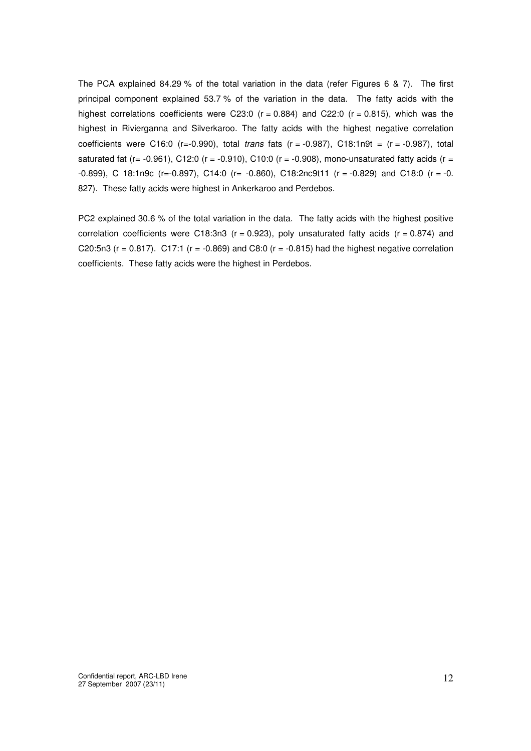The PCA explained 84.29 % of the total variation in the data (refer Figures 6 & 7). The first principal component explained 53.7 % of the variation in the data. The fatty acids with the highest correlations coefficients were C23:0 ( $r = 0.884$ ) and C22:0 ( $r = 0.815$ ), which was the highest in Rivierganna and Silverkaroo. The fatty acids with the highest negative correlation coefficients were C16:0 (r=-0.990), total trans fats (r = -0.987), C18:1n9t =  $(r = -0.987)$ , total saturated fat (r= -0.961), C12:0 (r = -0.910), C10:0 (r = -0.908), mono-unsaturated fatty acids (r =  $-0.899$ ), C 18:1n9c (r= $-0.897$ ), C14:0 (r=  $-0.860$ ), C18:2nc9t11 (r =  $-0.829$ ) and C18:0 (r =  $-0.899$ ) 827). These fatty acids were highest in Ankerkaroo and Perdebos.

PC2 explained 30.6 % of the total variation in the data. The fatty acids with the highest positive correlation coefficients were C18:3n3 ( $r = 0.923$ ), poly unsaturated fatty acids ( $r = 0.874$ ) and C20:5n3 ( $r = 0.817$ ). C17:1 ( $r = -0.869$ ) and C8:0 ( $r = -0.815$ ) had the highest negative correlation coefficients. These fatty acids were the highest in Perdebos.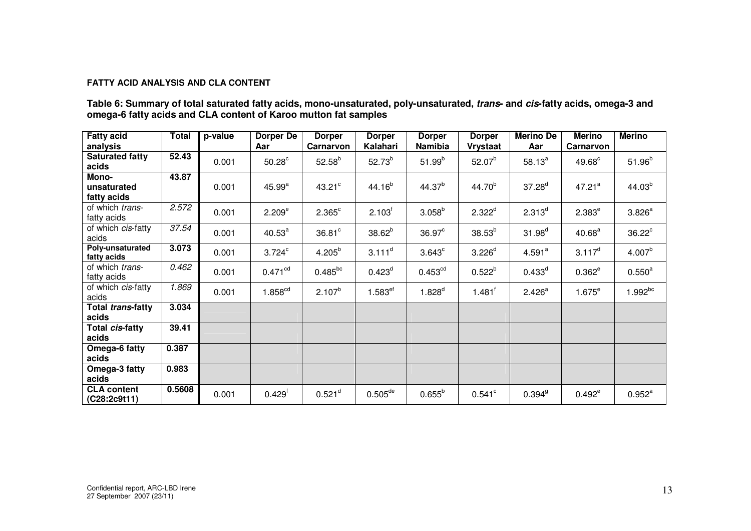## **FATTY ACID ANALYSIS AND CLA CONTENT**

Table 6: Summary of total saturated fatty acids, mono-unsaturated, poly-unsaturated, *trans*- and *cis*-fatty acids, omega-3 and<br>omega-6 fatty acids and CLA content of Karoo mutton fat samples

| <b>Fatty acid</b><br>analysis         | <b>Total</b> | p-value | <b>Dorper De</b><br>Aar | <b>Dorper</b><br><b>Carnarvon</b> | <b>Dorper</b><br>Kalahari | <b>Dorper</b><br>Namibia | <b>Dorper</b><br><b>Vrystaat</b> | <b>Merino De</b><br>Aar | <b>Merino</b><br>Carnarvon | <b>Merino</b>      |
|---------------------------------------|--------------|---------|-------------------------|-----------------------------------|---------------------------|--------------------------|----------------------------------|-------------------------|----------------------------|--------------------|
| <b>Saturated fatty</b><br>acids       | 52.43        | 0.001   | 50.28 <sup>c</sup>      | $52.58^{b}$                       | $52.73^{b}$               | $51.99^{b}$              | $52.07^{b}$                      | $58.13^{a}$             | $49.68^{\circ}$            | $51.96^{b}$        |
| Mono-<br>unsaturated<br>fatty acids   | 43.87        | 0.001   | $45.99^{a}$             | $43.21$ °                         | $44.16^{b}$               | $44.37^{b}$              | $44.70^{b}$                      | $37.28^{d}$             | 47.21 <sup>a</sup>         | $44.03^{b}$        |
| of which <i>trans-</i><br>fatty acids | 2.572        | 0.001   | $2.209^e$               | $2.365^{\circ}$                   | 2.103 <sup>1</sup>        | $3.058^{b}$              | $2.322^{d}$                      | $2.313^{d}$             | $2.383^{e}$                | $3.826^{a}$        |
| of which cis-fatty<br>acids           | 37.54        | 0.001   | $40.53^{\circ}$         | $36.81$ °                         | $38.62^{b}$               | 36.97 <sup>c</sup>       | $38.53^{b}$                      | $31.98^{d}$             | $40.68^{\text{a}}$         | $36.22^{\circ}$    |
| Poly-unsaturated<br>fatty acids       | 3.073        | 0.001   | $3.724$ <sup>c</sup>    | $4.205^{b}$                       | $3.111^{d}$               | $3.643^{\circ}$          | 3.226 <sup>d</sup>               | 4.591 <sup>a</sup>      | $3.117^{d}$                | 4.007 <sup>b</sup> |
| of which trans-<br>fatty acids        | 0.462        | 0.001   | 0.471 <sup>cd</sup>     | $0.485^{bc}$                      | $0.423^d$                 | 0.453 <sup>cd</sup>      | $0.522^{b}$                      | $0.433^{d}$             | $0.362^e$                  | $0.550^{a}$        |
| of which cis-fatty<br>acids           | 1.869        | 0.001   | 1.858 <sup>cd</sup>     | $2.107^{b}$                       | $1.583$ <sup>ef</sup>     | 1.828 <sup>d</sup>       | $1.481$ <sup>f</sup>             | 2.426 <sup>a</sup>      | $1.675^e$                  | $1.992^{bc}$       |
| Total trans-fatty<br>acids            | 3.034        |         |                         |                                   |                           |                          |                                  |                         |                            |                    |
| Total cis-fatty<br>acids              | 39.41        |         |                         |                                   |                           |                          |                                  |                         |                            |                    |
| Omega-6 fatty<br>acids                | 0.387        |         |                         |                                   |                           |                          |                                  |                         |                            |                    |
| Omega-3 fatty<br>acids                | 0.983        |         |                         |                                   |                           |                          |                                  |                         |                            |                    |
| <b>CLA</b> content<br>(C28:2c9t11)    | 0.5608       | 0.001   | $0.429^{t}$             | $0.521$ <sup>d</sup>              | $0.505^{\text{de}}$       | $0.655^{b}$              | $0.541^{\circ}$                  | $0.394$ <sup>g</sup>    | $0.492^e$                  | $0.952^a$          |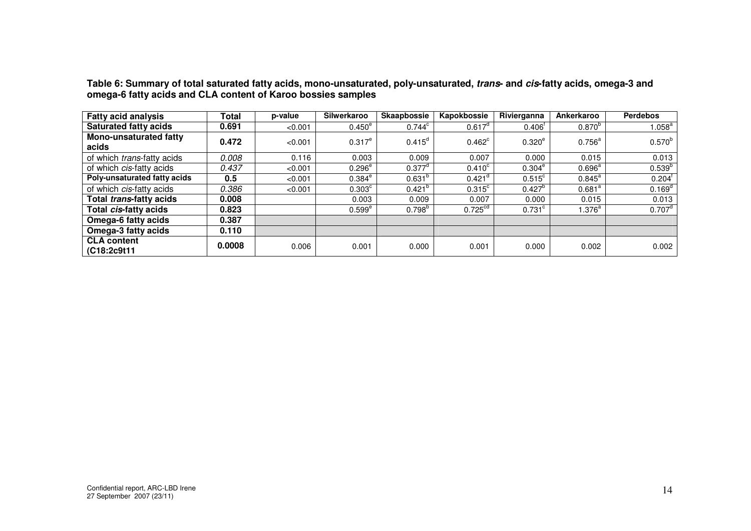| <b>Fatty acid analysis</b>             | Total  | p-value | Silwerkaroo        | Skaapbossie | Kapokbossie          | Rivierganna          | <b>Ankerkaroo</b>    | <b>Perdebos</b>      |
|----------------------------------------|--------|---------|--------------------|-------------|----------------------|----------------------|----------------------|----------------------|
| <b>Saturated fatty acids</b>           | 0.691  | < 0.001 | $0.450^\circ$      | 0.744c      | $0.617^d$            | $0.406^{\text{T}}$   | $0.870^{b}$          | 1.058 <sup>a</sup>   |
| <b>Mono-unsaturated fatty</b><br>acids | 0.472  | < 0.001 | $0.317^{e}$        | $0.415^d$   | $0.462^{\circ}$      | 0.320 <sup>e</sup>   | $0.756^{a}$          | $0.570^{b}$          |
| of which trans-fatty acids             | 0.008  | 0.116   | 0.003              | 0.009       | 0.007                | 0.000                | 0.015                | 0.013                |
| of which cis-fatty acids               | 0.437  | < 0.001 | 0.296 <sup>e</sup> | $0.377^d$   | $0.410^{\circ}$      | $0.304^e$            | $0.696^{a}$          | $0.539^{b}$          |
| Poly-unsaturated fatty acids           | 0.5    | < 0.001 | $0.384^{e}$        | $0.631^{b}$ | $0.421$ <sup>d</sup> | $0.515^{\circ}$      | $0.845^{\text{a}}$   | $0.204^{\dagger}$    |
| of which cis-fatty acids               | 0.386  | < 0.001 | 0.303 <sup>c</sup> | $0.421^{b}$ | $0.315$ <sup>c</sup> | $0.427^{b}$          | 0.681 <sup>a</sup>   | $0.169^{d}$          |
| Total trans-fatty acids                | 0.008  |         | 0.003              | 0.009       | 0.007                | 0.000                | 0.015                | 0.013                |
| Total cis-fatty acids                  | 0.823  |         | 0.599 <sup>e</sup> | $0.798^{b}$ | 0.725 <sup>cd</sup>  | $0.731$ <sup>c</sup> | $1.376^{\mathrm{a}}$ | $0.707$ <sup>d</sup> |
| Omega-6 fatty acids                    | 0.387  |         |                    |             |                      |                      |                      |                      |
| Omega-3 fatty acids                    | 0.110  |         |                    |             |                      |                      |                      |                      |
| <b>CLA content</b><br>(C18:2c9t11      | 0.0008 | 0.006   | 0.001              | 0.000       | 0.001                | 0.000                | 0.002                | 0.002                |

Table 6: Summary of total saturated fatty acids, mono-unsaturated, poly-unsaturated, *trans*- and *cis*-fatty acids, omega-3 and<br>omega-6 fatty acids and CLA content of Karoo bossies samples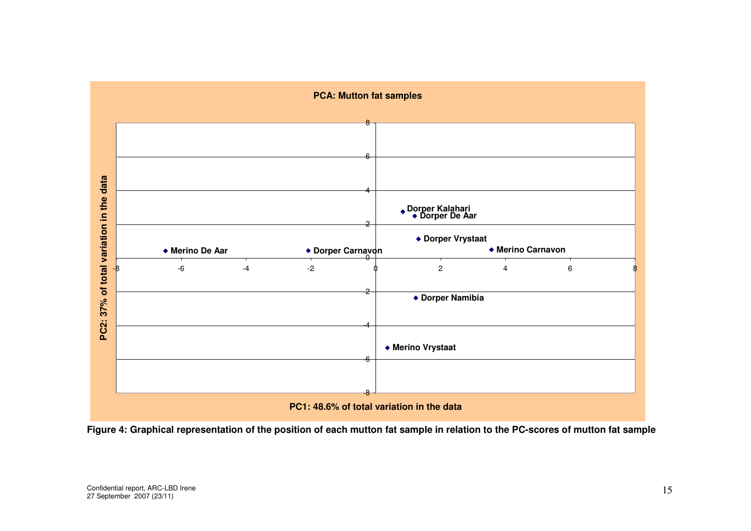

**Figure 4: Graphical representation of the position of each mutton fat sample in relation to the PC-scores of mutton fat sample**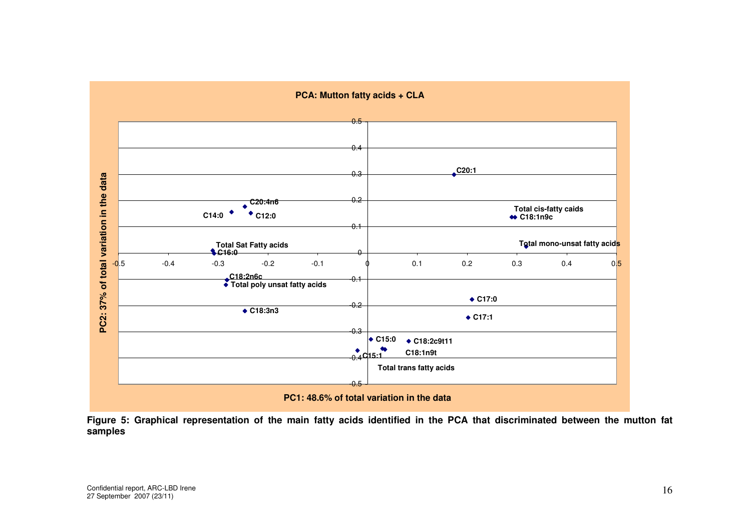

**Figure 5: Graphical representation of the main fatty acids identified in the PCA that discriminated between the mutton fat samples**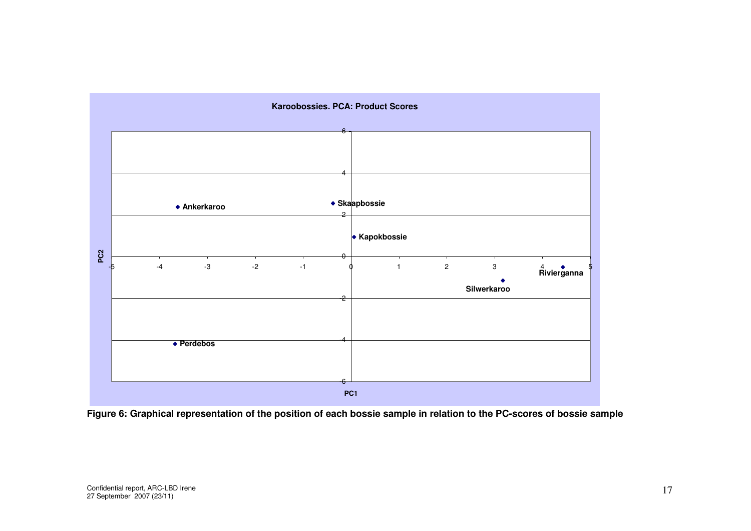

**Figure 6: Graphical representation of the position of each bossie sample in relation to the PC-scores of bossie sample**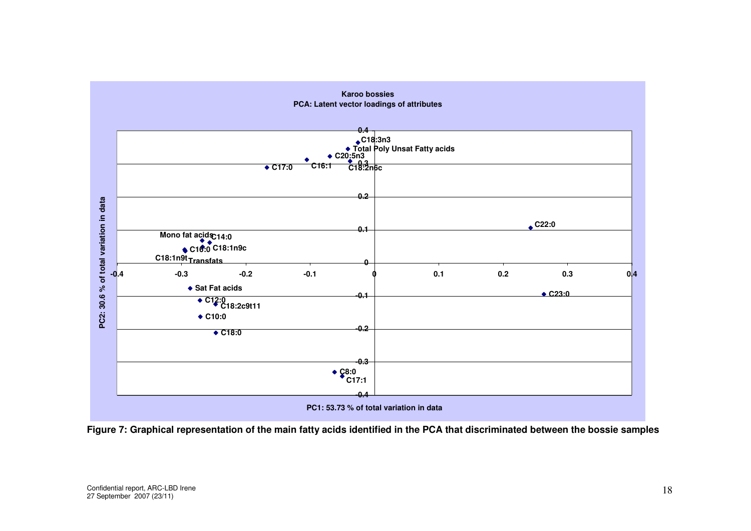

**Figure 7: Graphical representation of the main fatty acids identified in the PCA that discriminated between the bossie samples**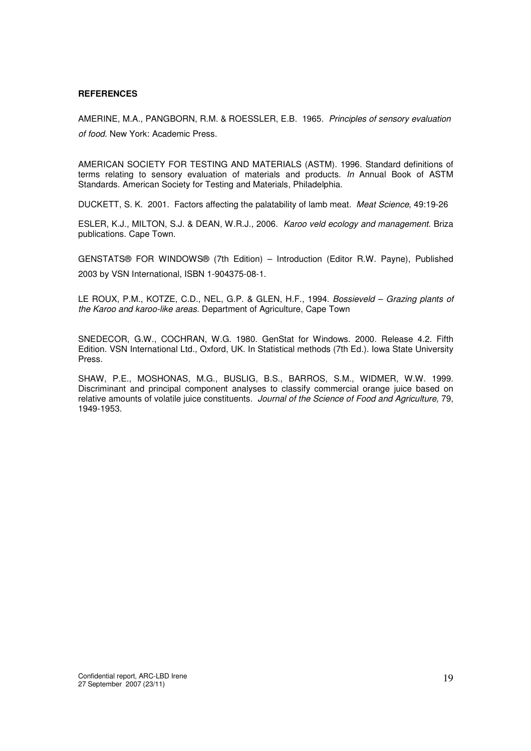## **REFERENCES**

AMERINE, M.A., PANGBORN, R.M. & ROESSLER, E.B. 1965. Principles of sensory evaluation of food. New York: Academic Press.

AMERICAN SOCIETY FOR TESTING AND MATERIALS (ASTM). 1996. Standard definitions of terms relating to sensory evaluation of materials and products. In Annual Book of ASTM Standards. American Society for Testing and Materials, Philadelphia.

DUCKETT, S. K. 2001. Factors affecting the palatability of lamb meat. Meat Science, 49:19-26

ESLER, K.J., MILTON, S.J. & DEAN, W.R.J., 2006. Karoo veld ecology and management. Briza publications. Cape Town.

GENSTATS® FOR WINDOWS® (7th Edition) – Introduction (Editor R.W. Payne), Published 2003 by VSN International, ISBN 1-904375-08-1.

LE ROUX, P.M., KOTZE, C.D., NEL, G.P. & GLEN, H.F., 1994. Bossieveld - Grazing plants of the Karoo and karoo-like areas. Department of Agriculture, Cape Town

SNEDECOR, G.W., COCHRAN, W.G. 1980. GenStat for Windows. 2000. Release 4.2. Fifth Edition. VSN International Ltd., Oxford, UK. In Statistical methods (7th Ed.). Iowa State University Press.

SHAW, P.E., MOSHONAS, M.G., BUSLIG, B.S., BARROS, S.M., WIDMER, W.W. 1999. Discriminant and principal component analyses to classify commercial orange juice based on relative amounts of volatile juice constituents. Journal of the Science of Food and Agriculture, 79, 1949-1953.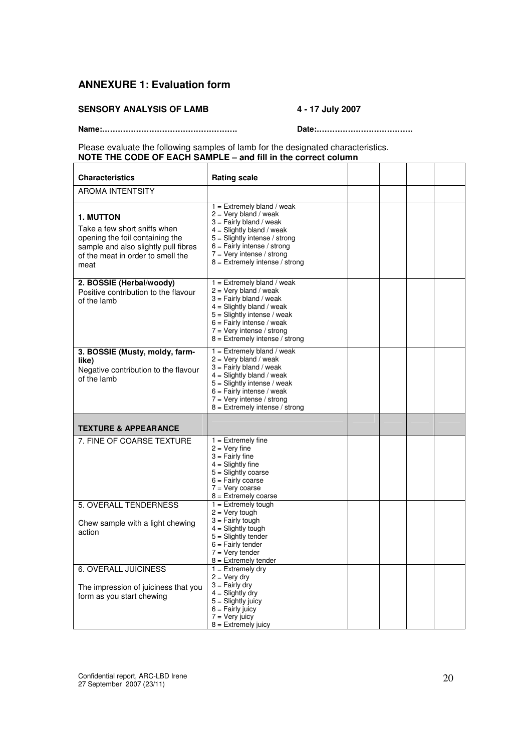## **ANNEXURE 1: Evaluation form**

## **SENSORY ANALYSIS OF LAMB 4 - 17 July 2007**

 $\overline{1}$ 

**Name:……………………………………………. Date:……………………………….** 

 $\overline{\phantom{0}}$ 

 $\top$ 

 $\top$ 

Please evaluate the following samples of lamb for the designated characteristics. **NOTE THE CODE OF EACH SAMPLE – and fill in the correct column** 

| <b>Characteristics</b>                                                                                                                                                   | <b>Rating scale</b>                                                                                                                                                                                                                                      |  |  |
|--------------------------------------------------------------------------------------------------------------------------------------------------------------------------|----------------------------------------------------------------------------------------------------------------------------------------------------------------------------------------------------------------------------------------------------------|--|--|
| <b>AROMA INTENTSITY</b>                                                                                                                                                  |                                                                                                                                                                                                                                                          |  |  |
| <b>1. MUTTON</b><br>Take a few short sniffs when<br>opening the foil containing the<br>sample and also slightly pull fibres<br>of the meat in order to smell the<br>meat | $1 =$ Extremely bland / weak<br>$2 = Very bland / weak$<br>$3 =$ Fairly bland / weak<br>$4 =$ Slightly bland / weak<br>5 = Slightly intense / strong<br>$6$ = Fairly intense / strong<br>$7 =$ Very intense / strong<br>$8$ = Extremely intense / strong |  |  |
| 2. BOSSIE (Herbal/woody)<br>Positive contribution to the flavour<br>of the lamb                                                                                          | $1 =$ Extremely bland / weak<br>$2 =$ Very bland / weak<br>$3 =$ Fairly bland / weak<br>$4 =$ Slightly bland / weak<br>$5 =$ Slightly intense / weak<br>$6$ = Fairly intense / weak<br>$7 =$ Very intense / strong<br>$8$ = Extremely intense / strong   |  |  |
| 3. BOSSIE (Musty, moldy, farm-<br>like)<br>Negative contribution to the flavour<br>of the lamb                                                                           | $1 =$ Extremely bland / weak<br>$2 =$ Very bland / weak<br>$3 =$ Fairly bland / weak<br>$4 =$ Slightly bland / weak<br>$5 =$ Slightly intense / weak<br>$6$ = Fairly intense / weak<br>$7 =$ Very intense / strong<br>$8$ = Extremely intense / strong   |  |  |
| <b>TEXTURE &amp; APPEARANCE</b>                                                                                                                                          |                                                                                                                                                                                                                                                          |  |  |
| 7. FINE OF COARSE TEXTURE                                                                                                                                                | $1 =$ Extremely fine<br>$2 = Very$ fine<br>$3 =$ Fairly fine<br>$4 =$ Slightly fine<br>$5 =$ Slightly coarse<br>$6 =$ Fairly coarse<br>$7 = Very coarse$<br>8 = Extremely coarse                                                                         |  |  |
| 5. OVERALL TENDERNESS<br>Chew sample with a light chewing<br>action                                                                                                      | $1 =$ Extremely tough<br>$2 = Very$ tough<br>$3 =$ Fairly tough<br>$4 =$ Slightly tough<br>5 = Slightly tender<br>$6 =$ Fairly tender<br>$7 =$ Very tender<br>$8$ = Extremely tender                                                                     |  |  |
| <b>6. OVERALL JUICINESS</b><br>The impression of juiciness that you<br>form as you start chewing                                                                         | $1 =$ Extremely dry<br>$2 = Very$ dry<br>$3 =$ Fairly dry<br>$4 =$ Slightly dry<br>$5 =$ Slightly juicy<br>$6 =$ Fairly juicy<br>7 = Very juicy<br>$8 =$ Extremely juicy                                                                                 |  |  |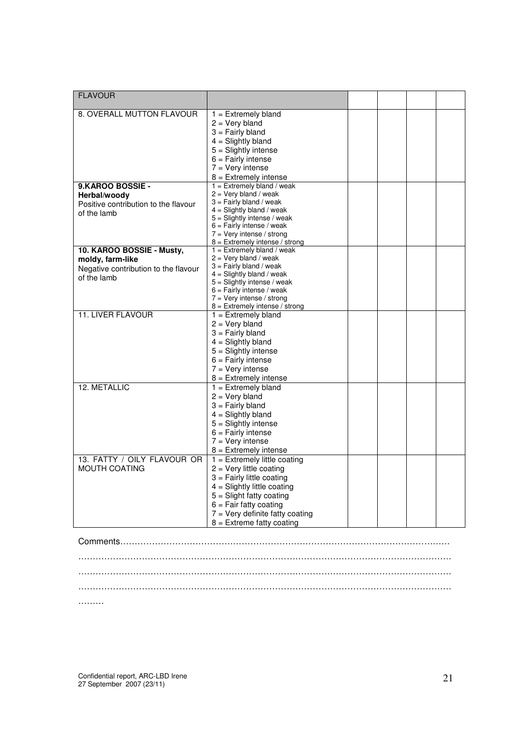| <b>FLAVOUR</b>                                                                                       |                                                                                                                                                                                                                                                             |  |  |
|------------------------------------------------------------------------------------------------------|-------------------------------------------------------------------------------------------------------------------------------------------------------------------------------------------------------------------------------------------------------------|--|--|
| 8. OVERALL MUTTON FLAVOUR                                                                            | $1 =$ Extremely bland<br>$2 = Very bland$<br>$3 =$ Fairly bland<br>$4 =$ Slightly bland<br>5 = Slightly intense<br>$6 =$ Fairly intense<br>$7 =$ Very intense<br>$8 =$ Extremely intense                                                                    |  |  |
| 9.KAROO BOSSIE -<br>Herbal/woody<br>Positive contribution to the flavour<br>of the lamb              | $1 =$ Extremely bland / weak<br>$2 =$ Very bland / weak<br>$3 =$ Fairly bland / weak<br>$4 =$ Slightly bland / weak<br>$5 =$ Slightly intense / weak<br>$6$ = Fairly intense / weak<br>$7 =$ Very intense / strong<br>8 = Extremely intense / strong        |  |  |
| 10. KAROO BOSSIE - Musty,<br>moldy, farm-like<br>Negative contribution to the flavour<br>of the lamb | $1 =$ Extremely bland / weak<br>$2 = Very bland / weak$<br>$3 =$ Fairly bland / weak<br>$4 =$ Slightly bland / weak<br>$5 =$ Slightly intense / weak<br>$6$ = Fairly intense / weak<br>$7 = \text{Very}$ intense / strong<br>8 = Extremely intense / strong |  |  |
| 11. LIVER FLAVOUR                                                                                    | $1 =$ Extremely bland<br>$2 = Very bland$<br>$3 =$ Fairly bland<br>$4 =$ Slightly bland<br>$5 =$ Slightly intense<br>$6$ = Fairly intense<br>$7 = \text{Very}$ intense<br>$8 =$ Extremely intense                                                           |  |  |
| 12. METALLIC                                                                                         | $1 =$ Extremely bland<br>$2 = Very bland$<br>$3 =$ Fairly bland<br>$4 =$ Slightly bland<br>$5 =$ Slightly intense<br>$6 =$ Fairly intense<br>$7 = \text{Very}$ intense<br>$8 =$ Extremely intense                                                           |  |  |
| 13. FATTY / OILY FLAVOUR OR<br><b>MOUTH COATING</b>                                                  | $1 =$ Extremely little coating<br>$2$ = Very little coating<br>$3$ = Fairly little coating<br>$4 =$ Slightly little coating<br>$5 =$ Slight fatty coating<br>$6$ = Fair fatty coating<br>$7 =$ Very definite fatty coating<br>$8$ = Extreme fatty coating   |  |  |

# Comments…………………………………………………………………………………………………… ………………………………………………………………………………………………………………… ………………………………………………………………………………………………………………… …………………………………………………………………………………………………………………

………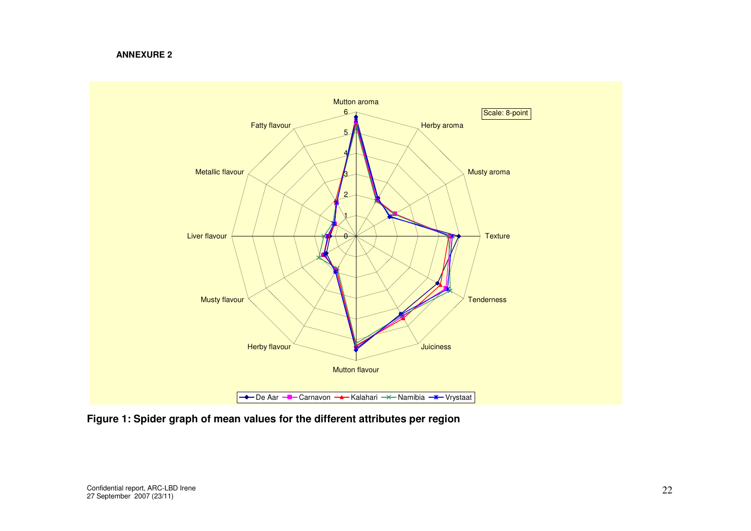## **ANNEXURE 2**



**Figure 1: Spider graph of mean values for the different attributes per region**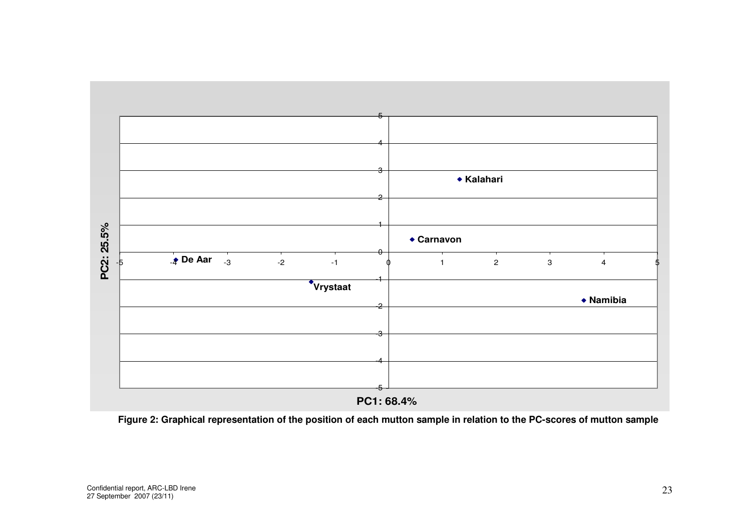

**Figure 2: Graphical representation of the position of each mutton sample in relation to the PC-scores of mutton sample**